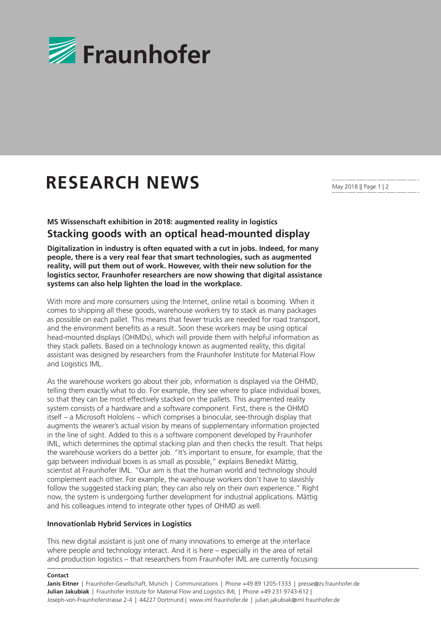

## **RESEARCH NEWS**

May 2018 || Page 1 | 2

**MS Wissenschaft exhibition in 2018: augmented reality in logistics Stacking goods with an optical head-mounted display**

**Digitalization in industry is often equated with a cut in jobs. Indeed, for many people, there is a very real fear that smart technologies, such as augmented reality, will put them out of work. However, with their new solution for the logistics sector, Fraunhofer researchers are now showing that digital assistance systems can also help lighten the load in the workplace.**

With more and more consumers using the Internet, online retail is booming. When it comes to shipping all these goods, warehouse workers try to stack as many packages as possible on each pallet. This means that fewer trucks are needed for road transport, and the environment benefits as a result. Soon these workers may be using optical head-mounted displays (OHMDs), which will provide them with helpful information as they stack pallets. Based on a technology known as augmented reality, this digital assistant was designed by researchers from the Fraunhofer Institute for Material Flow and Logistics IML.

As the warehouse workers go about their job, information is displayed via the OHMD, telling them exactly what to do. For example, they see where to place individual boxes, so that they can be most effectively stacked on the pallets. This augmented reality system consists of a hardware and a software component. First, there is the OHMD itself – a Microsoft Hololens – which comprises a binocular, see-through display that augments the wearer's actual vision by means of supplementary information projected in the line of sight. Added to this is a software component developed by Fraunhofer IML, which determines the optimal stacking plan and then checks the result. That helps the warehouse workers do a better job. "It's important to ensure, for example, that the gap between individual boxes is as small as possible," explains Benedikt Mättig, scientist at Fraunhofer IML. "Our aim is that the human world and technology should complement each other. For example, the warehouse workers don't have to slavishly follow the suggested stacking plan; they can also rely on their own experience." Right now, the system is undergoing further development for industrial applications. Mättig and his colleagues intend to integrate other types of OHMD as well.

## **Innovationlab Hybrid Services in Logistics**

This new digital assistant is just one of many innovations to emerge at the interface where people and technology interact. And it is here – especially in the area of retail and production logistics – that researchers from Fraunhofer IML are currently focusing

## **Contact**